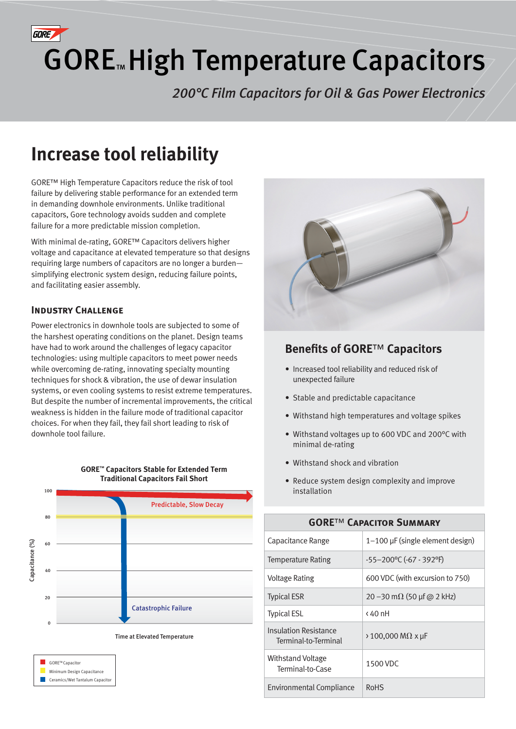

# GORE<sup>™</sup> High Temperature Capacitors

*200°C Film Capacitors for Oil & Gas Power Electronics*

# **Increase tool reliability**

GORE™ High Temperature Capacitors reduce the risk of tool failure by delivering stable performance for an extended term in demanding downhole environments. Unlike traditional capacitors, Gore technology avoids sudden and complete failure for a more predictable mission completion.

With minimal de-rating, GORE™ Capacitors delivers higher voltage and capacitance at elevated temperature so that designs requiring large numbers of capacitors are no longer a burden simplifying electronic system design, reducing failure points, and facilitating easier assembly.

# **Industry Challenge**

Power electronics in downhole tools are subjected to some of the harshest operating conditions on the planet. Design teams have had to work around the challenges of legacy capacitor technologies: using multiple capacitors to meet power needs while overcoming de-rating, innovating specialty mounting techniques for shock & vibration, the use of dewar insulation systems, or even cooling systems to resist extreme temperatures. But despite the number of incremental improvements, the critical weakness is hidden in the failure mode of traditional capacitor choices. For when they fail, they fail short leading to risk of downhole tool failure.

**GORE™ Capacitors Stable for Extended Term**









# **Benefits of GORE**™ **Capacitors**

- Increased tool reliability and reduced risk of unexpected failure
- Stable and predictable capacitance
- Withstand high temperatures and voltage spikes
- Withstand voltages up to 600 VDC and 200°C with minimal de-rating
- Withstand shock and vibration
- Reduce system design complexity and improve installation

| <b>GORE™ CAPACITOR SUMMARY</b>                |                                       |  |
|-----------------------------------------------|---------------------------------------|--|
| Capacitance Range                             | $1-100$ µF (single element design)    |  |
| Temperature Rating                            | -55-200°C (-67 - 392°F)               |  |
| <b>Voltage Rating</b>                         | 600 VDC (with excursion to 750)       |  |
| <b>Typical ESR</b>                            | 20 - 30 m $\Omega$ (50 µf @ 2 kHz)    |  |
| <b>Typical ESL</b>                            | < 40 nH                               |  |
| Insulation Resistance<br>Terminal-to-Terminal | $\rightarrow$ 100,000 M $\Omega$ x µF |  |
| <b>Withstand Voltage</b><br>Terminal-to-Case  | 1500 VDC                              |  |
| <b>Environmental Compliance</b>               | <b>RoHS</b>                           |  |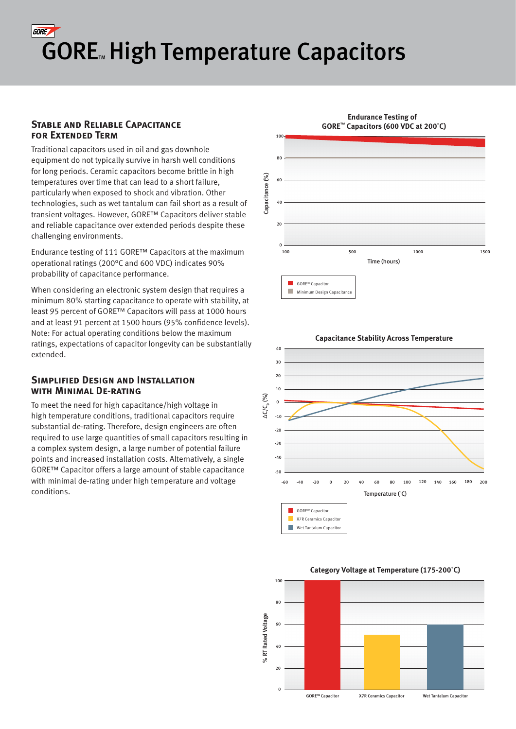# **GORE GORE<sup>M</sup> High Temperature Capacitors**

### **Stable and Reliable Capacitance for Extended Term**

Traditional capacitors used in oil and gas downhole equipment do not typically survive in harsh well conditions for long periods. Ceramic capacitors become brittle in high temperatures over time that can lead to a short failure, particularly when exposed to shock and vibration. Other technologies, such as wet tantalum can fail short as a result of transient voltages. However, GORE™ Capacitors deliver stable and reliable capacitance over extended periods despite these challenging environments.

Endurance testing of 111 GORE™ Capacitors at the maximum operational ratings (200°C and 600 VDC) indicates 90% probability of capacitance performance.

When considering an electronic system design that requires a minimum 80% starting capacitance to operate with stability, at least 95 percent of GORE™ Capacitors will pass at 1000 hours and at least 91 percent at 1500 hours (95% confidence levels). Note: For actual operating conditions below the maximum ratings, expectations of capacitor longevity can be substantially extended.

## **SIMPLIFIED DESIGN AND INSTALLATION with Minimal De-rating**

To meet the need for high capacitance/high voltage in high temperature conditions, traditional capacitors require substantial de-rating. Therefore, design engineers are often required to use large quantities of small capacitors resulting in a complex system design, a large number of potential failure points and increased installation costs. Alternatively, a single GORE™ Capacitor offers a large amount of stable capacitance with minimal de-rating under high temperature and voltage conditions.







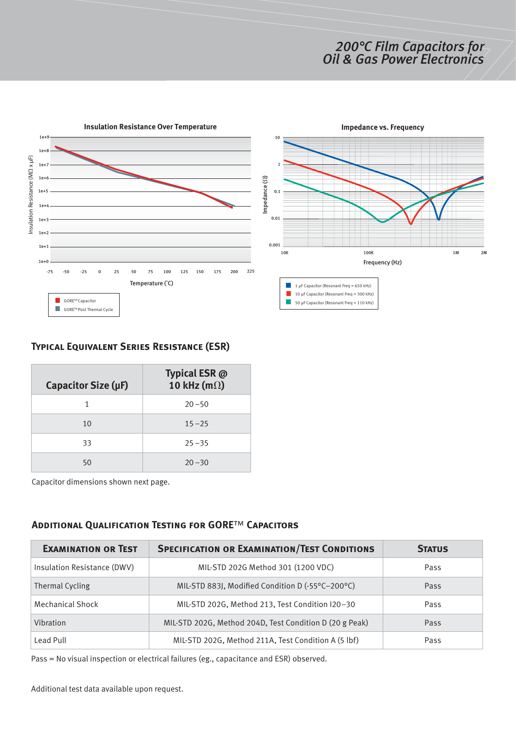# *200°C Film Capacitors for Oil & Gas Power Electronics*



# **Typical Equivalent Series Resistance (ESR)**

| Capacitor Size (µF) | Typical ESR @<br>10 kHz (m $\Omega$ ) |
|---------------------|---------------------------------------|
|                     | $20 - 50$                             |
| 10                  | $15 - 25$                             |
| 33                  | $25 - 35$                             |
| 50                  | $20 - 30$                             |

Capacitor dimensions shown next page.

## **Additional Qualification Testing for GORE**™ **Capacitors**

| <b>EXAMINATION OR TEST</b>  | <b>SPECIFICATION OR EXAMINATION/TEST CONDITIONS</b>     | <b>STATUS</b> |
|-----------------------------|---------------------------------------------------------|---------------|
| Insulation Resistance (DWV) | MIL-STD 202G Method 301 (1200 VDC)                      | Pass          |
| Thermal Cycling             | MIL-STD 883J, Modified Condition D (-55°C-200°C)        | Pass          |
| <b>Mechanical Shock</b>     | MIL-STD 202G, Method 213, Test Condition I20-30         | Pass          |
| Vibration                   | MIL-STD 202G, Method 204D, Test Condition D (20 g Peak) | Pass          |
| Lead Pull                   | MIL-STD 202G, Method 211A, Test Condition A (5 lbf)     | Pass          |

Pass = No visual inspection or electrical failures (eg., capacitance and ESR) observed.

Additional test data available upon request.